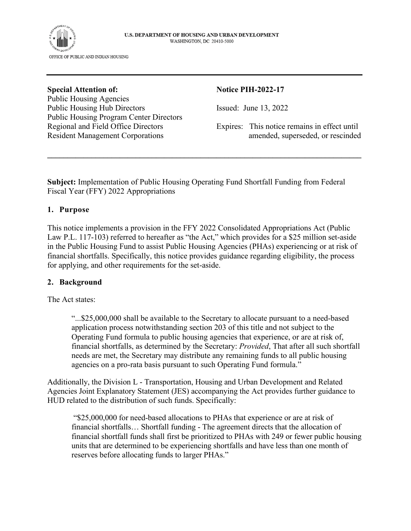

Public Housing Agencies Public Housing Hub Directors Issued: June 13, 2022 Public Housing Program Center Directors

#### **Special Attention of:** Notice PIH-2022-17

Regional and Field Office Directors Expires: This notice remains in effect until Resident Management Corporations amended, superseded, or rescinded

**Subject:** Implementation of Public Housing Operating Fund Shortfall Funding from Federal Fiscal Year (FFY) 2022 Appropriations

 $\mathcal{L}_\mathcal{L} = \{ \mathcal{L}_\mathcal{L} = \{ \mathcal{L}_\mathcal{L} = \{ \mathcal{L}_\mathcal{L} = \{ \mathcal{L}_\mathcal{L} = \{ \mathcal{L}_\mathcal{L} = \{ \mathcal{L}_\mathcal{L} = \{ \mathcal{L}_\mathcal{L} = \{ \mathcal{L}_\mathcal{L} = \{ \mathcal{L}_\mathcal{L} = \{ \mathcal{L}_\mathcal{L} = \{ \mathcal{L}_\mathcal{L} = \{ \mathcal{L}_\mathcal{L} = \{ \mathcal{L}_\mathcal{L} = \{ \mathcal{L}_\mathcal{$ 

#### **1. Purpose**

This notice implements a provision in the FFY 2022 Consolidated Appropriations Act (Public Law P.L. 117-103) referred to hereafter as "the Act," which provides for a \$25 million set-aside in the Public Housing Fund to assist Public Housing Agencies (PHAs) experiencing or at risk of financial shortfalls. Specifically, this notice provides guidance regarding eligibility, the process for applying, and other requirements for the set-aside.

#### **2. Background**

The Act states:

"...\$25,000,000 shall be available to the Secretary to allocate pursuant to a need-based application process notwithstanding section 203 of this title and not subject to the Operating Fund formula to public housing agencies that experience, or are at risk of, financial shortfalls, as determined by the Secretary: *Provided*, That after all such shortfall needs are met, the Secretary may distribute any remaining funds to all public housing agencies on a pro-rata basis pursuant to such Operating Fund formula."

Additionally, the Division L - Transportation, Housing and Urban Development and Related Agencies Joint Explanatory Statement (JES) accompanying the Act provides further guidance to HUD related to the distribution of such funds. Specifically:

 "\$25,000,000 for need-based allocations to PHAs that experience or are at risk of financial shortfalls… Shortfall funding - The agreement directs that the allocation of financial shortfall funds shall first be prioritized to PHAs with 249 or fewer public housing units that are determined to be experiencing shortfalls and have less than one month of reserves before allocating funds to larger PHAs."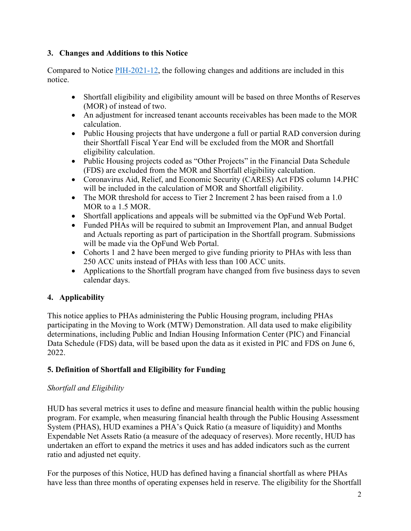### **3. Changes and Additions to this Notice**

Compared to Notice [PIH-2021-12,](https://www.hud.gov/sites/dfiles/PIH/documents/PIH2021-12.pdf) the following changes and additions are included in this notice.

- Shortfall eligibility and eligibility amount will be based on three Months of Reserves (MOR) of instead of two.
- An adjustment for increased tenant accounts receivables has been made to the MOR calculation.
- Public Housing projects that have undergone a full or partial RAD conversion during their Shortfall Fiscal Year End will be excluded from the MOR and Shortfall eligibility calculation.
- Public Housing projects coded as "Other Projects" in the Financial Data Schedule (FDS) are excluded from the MOR and Shortfall eligibility calculation.
- Coronavirus Aid, Relief, and Economic Security (CARES) Act FDS column 14.PHC will be included in the calculation of MOR and Shortfall eligibility.
- The MOR threshold for access to Tier 2 Increment 2 has been raised from a 1.0 MOR to a 1.5 MOR.
- Shortfall applications and appeals will be submitted via the OpFund Web Portal.
- Funded PHAs will be required to submit an Improvement Plan, and annual Budget and Actuals reporting as part of participation in the Shortfall program. Submissions will be made via the OpFund Web Portal.
- Cohorts 1 and 2 have been merged to give funding priority to PHAs with less than 250 ACC units instead of PHAs with less than 100 ACC units.
- Applications to the Shortfall program have changed from five business days to seven calendar days.

# **4. Applicability**

This notice applies to PHAs administering the Public Housing program, including PHAs participating in the Moving to Work (MTW) Demonstration. All data used to make eligibility determinations, including Public and Indian Housing Information Center (PIC) and Financial Data Schedule (FDS) data, will be based upon the data as it existed in PIC and FDS on June 6, 2022.

# **5. Definition of Shortfall and Eligibility for Funding**

## *Shortfall and Eligibility*

HUD has several metrics it uses to define and measure financial health within the public housing program. For example, when measuring financial health through the Public Housing Assessment System (PHAS), HUD examines a PHA's Quick Ratio (a measure of liquidity) and Months Expendable Net Assets Ratio (a measure of the adequacy of reserves). More recently, HUD has undertaken an effort to expand the metrics it uses and has added indicators such as the current ratio and adjusted net equity.

For the purposes of this Notice, HUD has defined having a financial shortfall as where PHAs have less than three months of operating expenses held in reserve. The eligibility for the Shortfall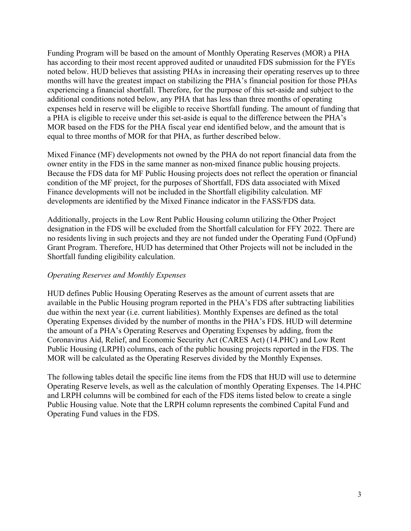Funding Program will be based on the amount of Monthly Operating Reserves (MOR) a PHA has according to their most recent approved audited or unaudited FDS submission for the FYEs noted below. HUD believes that assisting PHAs in increasing their operating reserves up to three months will have the greatest impact on stabilizing the PHA's financial position for those PHAs experiencing a financial shortfall. Therefore, for the purpose of this set-aside and subject to the additional conditions noted below, any PHA that has less than three months of operating expenses held in reserve will be eligible to receive Shortfall funding. The amount of funding that a PHA is eligible to receive under this set-aside is equal to the difference between the PHA's MOR based on the FDS for the PHA fiscal year end identified below, and the amount that is equal to three months of MOR for that PHA, as further described below.

Mixed Finance (MF) developments not owned by the PHA do not report financial data from the owner entity in the FDS in the same manner as non-mixed finance public housing projects. Because the FDS data for MF Public Housing projects does not reflect the operation or financial condition of the MF project, for the purposes of Shortfall, FDS data associated with Mixed Finance developments will not be included in the Shortfall eligibility calculation. MF developments are identified by the Mixed Finance indicator in the FASS/FDS data.

Additionally, projects in the Low Rent Public Housing column utilizing the Other Project designation in the FDS will be excluded from the Shortfall calculation for FFY 2022. There are no residents living in such projects and they are not funded under the Operating Fund (OpFund) Grant Program. Therefore, HUD has determined that Other Projects will not be included in the Shortfall funding eligibility calculation.

#### *Operating Reserves and Monthly Expenses*

HUD defines Public Housing Operating Reserves as the amount of current assets that are available in the Public Housing program reported in the PHA's FDS after subtracting liabilities due within the next year (i.e. current liabilities). Monthly Expenses are defined as the total Operating Expenses divided by the number of months in the PHA's FDS. HUD will determine the amount of a PHA's Operating Reserves and Operating Expenses by adding, from the Coronavirus Aid, Relief, and Economic Security Act (CARES Act) (14.PHC) and Low Rent Public Housing (LRPH) columns, each of the public housing projects reported in the FDS. The MOR will be calculated as the Operating Reserves divided by the Monthly Expenses.

The following tables detail the specific line items from the FDS that HUD will use to determine Operating Reserve levels, as well as the calculation of monthly Operating Expenses. The 14.PHC and LRPH columns will be combined for each of the FDS items listed below to create a single Public Housing value. Note that the LRPH column represents the combined Capital Fund and Operating Fund values in the FDS.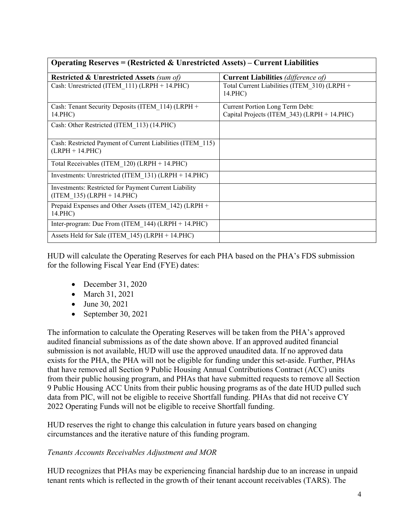| Operating Reserves = (Restricted & Unrestricted Assets) – Current Liabilities         |                                                                                       |  |  |  |
|---------------------------------------------------------------------------------------|---------------------------------------------------------------------------------------|--|--|--|
| <b>Restricted &amp; Unrestricted Assets (sum of)</b>                                  | <b>Current Liabilities</b> (difference of)                                            |  |  |  |
| Cash: Unrestricted (ITEM 111) (LRPH + 14.PHC)                                         | Total Current Liabilities (ITEM 310) (LRPH +<br>14.PHC)                               |  |  |  |
| Cash: Tenant Security Deposits (ITEM 114) (LRPH +<br>14.PHC)                          | <b>Current Portion Long Term Debt:</b><br>Capital Projects (ITEM 343) (LRPH + 14.PHC) |  |  |  |
| Cash: Other Restricted (ITEM 113) (14.PHC)                                            |                                                                                       |  |  |  |
| Cash: Restricted Payment of Current Liabilities (ITEM 115)<br>$(LRPH + 14.PHC)$       |                                                                                       |  |  |  |
| Total Receivables (ITEM 120) (LRPH + 14.PHC)                                          |                                                                                       |  |  |  |
| Investments: Unrestricted (ITEM $131$ ) (LRPH + 14.PHC)                               |                                                                                       |  |  |  |
| Investments: Restricted for Payment Current Liability<br>$(ITEM 135) (LRPH + 14.PHC)$ |                                                                                       |  |  |  |
| Prepaid Expenses and Other Assets (ITEM 142) (LRPH +<br>14.PHC)                       |                                                                                       |  |  |  |
| Inter-program: Due From (ITEM $144$ ) (LRPH + 14.PHC)                                 |                                                                                       |  |  |  |
| Assets Held for Sale (ITEM 145) (LRPH + 14.PHC)                                       |                                                                                       |  |  |  |

**Operating Reserves = (Restricted & Unrestricted Assets) – Current Liabilities** 

HUD will calculate the Operating Reserves for each PHA based on the PHA's FDS submission for the following Fiscal Year End (FYE) dates:

- $\bullet$  December 31, 2020
- March 31, 2021
- June 30, 2021
- $\bullet$  September 30, 2021

The information to calculate the Operating Reserves will be taken from the PHA's approved audited financial submissions as of the date shown above. If an approved audited financial submission is not available, HUD will use the approved unaudited data. If no approved data exists for the PHA, the PHA will not be eligible for funding under this set-aside. Further, PHAs that have removed all Section 9 Public Housing Annual Contributions Contract (ACC) units from their public housing program, and PHAs that have submitted requests to remove all Section 9 Public Housing ACC Units from their public housing programs as of the date HUD pulled such data from PIC, will not be eligible to receive Shortfall funding. PHAs that did not receive CY 2022 Operating Funds will not be eligible to receive Shortfall funding.

HUD reserves the right to change this calculation in future years based on changing circumstances and the iterative nature of this funding program.

#### *Tenants Accounts Receivables Adjustment and MOR*

HUD recognizes that PHAs may be experiencing financial hardship due to an increase in unpaid tenant rents which is reflected in the growth of their tenant account receivables (TARS). The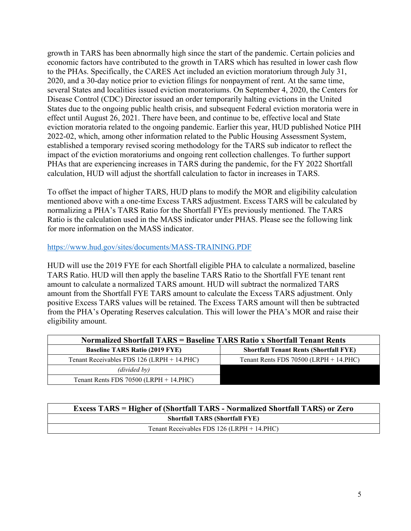growth in TARS has been abnormally high since the start of the pandemic. Certain policies and economic factors have contributed to the growth in TARS which has resulted in lower cash flow to the PHAs. Specifically, the CARES Act included an eviction moratorium through July 31, 2020, and a 30-day notice prior to eviction filings for nonpayment of rent. At the same time, several States and localities issued eviction moratoriums. On September 4, 2020, the Centers for Disease Control (CDC) Director issued an order temporarily halting evictions in the United States due to the ongoing public health crisis, and subsequent Federal eviction moratoria were in effect until August 26, 2021. There have been, and continue to be, effective local and State eviction moratoria related to the ongoing pandemic. Earlier this year, HUD published Notice PIH 2022-02, which, among other information related to the Public Housing Assessment System, established a temporary revised scoring methodology for the TARS sub indicator to reflect the impact of the eviction moratoriums and ongoing rent collection challenges. To further support PHAs that are experiencing increases in TARS during the pandemic, for the FY 2022 Shortfall calculation, HUD will adjust the shortfall calculation to factor in increases in TARS.

To offset the impact of higher TARS, HUD plans to modify the MOR and eligibility calculation mentioned above with a one-time Excess TARS adjustment. Excess TARS will be calculated by normalizing a PHA's TARS Ratio for the Shortfall FYEs previously mentioned. The TARS Ratio is the calculation used in the MASS indicator under PHAS. Please see the following link for more information on the MASS indicator.

#### <https://www.hud.gov/sites/documents/MASS-TRAINING.PDF>

HUD will use the 2019 FYE for each Shortfall eligible PHA to calculate a normalized, baseline TARS Ratio. HUD will then apply the baseline TARS Ratio to the Shortfall FYE tenant rent amount to calculate a normalized TARS amount. HUD will subtract the normalized TARS amount from the Shortfall FYE TARS amount to calculate the Excess TARS adjustment. Only positive Excess TARS values will be retained. The Excess TARS amount will then be subtracted from the PHA's Operating Reserves calculation. This will lower the PHA's MOR and raise their eligibility amount.

| Normalized Shortfall TARS = Baseline TARS Ratio x Shortfall Tenant Rents |                                               |  |  |  |
|--------------------------------------------------------------------------|-----------------------------------------------|--|--|--|
| <b>Baseline TARS Ratio (2019 FYE)</b>                                    | <b>Shortfall Tenant Rents (Shortfall FYE)</b> |  |  |  |
| Tenant Receivables FDS 126 (LRPH + 14.PHC)                               | Tenant Rents FDS $70500$ (LRPH + 14.PHC)      |  |  |  |
| (divided by)                                                             |                                               |  |  |  |
| Tenant Rents FDS $70500$ (LRPH + 14.PHC)                                 |                                               |  |  |  |

| <b>Excess TARS = Higher of (Shortfall TARS - Normalized Shortfall TARS) or Zero</b> |  |  |
|-------------------------------------------------------------------------------------|--|--|
| <b>Shortfall TARS (Shortfall FYE)</b>                                               |  |  |
| Tenant Receivables FDS $126$ (LRPH + 14.PHC)                                        |  |  |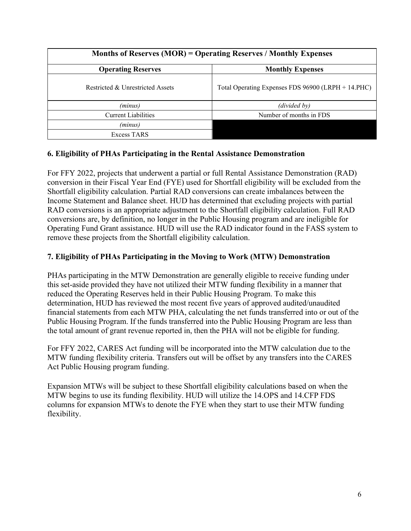| <b>Months of Reserves (MOR) = Operating Reserves / Monthly Expenses</b> |                                                    |  |  |  |
|-------------------------------------------------------------------------|----------------------------------------------------|--|--|--|
| <b>Operating Reserves</b>                                               | <b>Monthly Expenses</b>                            |  |  |  |
| Restricted & Unrestricted Assets                                        | Total Operating Expenses FDS 96900 (LRPH + 14.PHC) |  |  |  |
| (minus)                                                                 | (divided by)                                       |  |  |  |
| <b>Current Liabilities</b>                                              | Number of months in FDS                            |  |  |  |
| (minus)                                                                 |                                                    |  |  |  |
| Excess TARS                                                             |                                                    |  |  |  |

#### **6. Eligibility of PHAs Participating in the Rental Assistance Demonstration**

For FFY 2022, projects that underwent a partial or full Rental Assistance Demonstration (RAD) conversion in their Fiscal Year End (FYE) used for Shortfall eligibility will be excluded from the Shortfall eligibility calculation. Partial RAD conversions can create imbalances between the Income Statement and Balance sheet. HUD has determined that excluding projects with partial RAD conversions is an appropriate adjustment to the Shortfall eligibility calculation. Full RAD conversions are, by definition, no longer in the Public Housing program and are ineligible for Operating Fund Grant assistance. HUD will use the RAD indicator found in the FASS system to remove these projects from the Shortfall eligibility calculation.

## **7. Eligibility of PHAs Participating in the Moving to Work (MTW) Demonstration**

PHAs participating in the MTW Demonstration are generally eligible to receive funding under this set-aside provided they have not utilized their MTW funding flexibility in a manner that reduced the Operating Reserves held in their Public Housing Program. To make this determination, HUD has reviewed the most recent five years of approved audited/unaudited financial statements from each MTW PHA, calculating the net funds transferred into or out of the Public Housing Program. If the funds transferred into the Public Housing Program are less than the total amount of grant revenue reported in, then the PHA will not be eligible for funding.

For FFY 2022, CARES Act funding will be incorporated into the MTW calculation due to the MTW funding flexibility criteria. Transfers out will be offset by any transfers into the CARES Act Public Housing program funding.

Expansion MTWs will be subject to these Shortfall eligibility calculations based on when the MTW begins to use its funding flexibility. HUD will utilize the 14.OPS and 14.CFP FDS columns for expansion MTWs to denote the FYE when they start to use their MTW funding flexibility.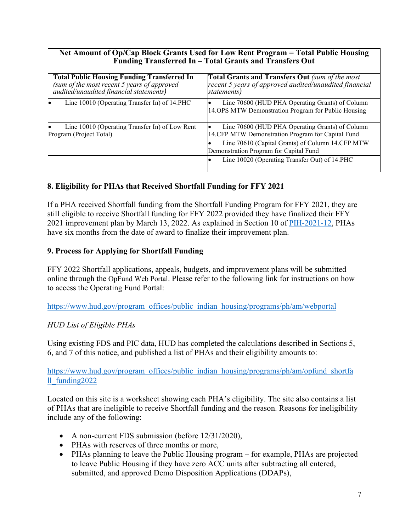| Net Amount of Op/Cap Block Grants Used for Low Rent Program = Total Public Housing<br>Funding Transferred In - Total Grants and Transfers Out |                                                                                                                                 |  |  |  |
|-----------------------------------------------------------------------------------------------------------------------------------------------|---------------------------------------------------------------------------------------------------------------------------------|--|--|--|
| <b>Total Public Housing Funding Transferred In</b><br>(sum of the most recent 5 years of approved<br>audited/unaudited financial statements)  | <b>Total Grants and Transfers Out</b> (sum of the most<br>recent 5 years of approved audited/unaudited financial<br>statements) |  |  |  |
| Line 10010 (Operating Transfer In) of 14.PHC                                                                                                  | Line 70600 (HUD PHA Operating Grants) of Column<br>14.OPS MTW Demonstration Program for Public Housing                          |  |  |  |
| Line 10010 (Operating Transfer In) of Low Rent<br>Program (Project Total)                                                                     | Line 70600 (HUD PHA Operating Grants) of Column<br>14.CFP MTW Demonstration Program for Capital Fund                            |  |  |  |
|                                                                                                                                               | Line 70610 (Capital Grants) of Column 14.CFP MTW<br>Demonstration Program for Capital Fund                                      |  |  |  |
|                                                                                                                                               | Line 10020 (Operating Transfer Out) of 14.PHC                                                                                   |  |  |  |

## **8. Eligibility for PHAs that Received Shortfall Funding for FFY 2021**

If a PHA received Shortfall funding from the Shortfall Funding Program for FFY 2021, they are still eligible to receive Shortfall funding for FFY 2022 provided they have finalized their FFY 2021 improvement plan by March 13, 2022. As explained in Section 10 of [PIH-2021-12,](https://www.hud.gov/sites/dfiles/PIH/documents/PIH2021-12.pdf) PHAs have six months from the date of award to finalize their improvement plan.

#### **9. Process for Applying for Shortfall Funding**

FFY 2022 Shortfall applications, appeals, budgets, and improvement plans will be submitted online through the OpFund Web Portal. Please refer to the following link for instructions on how to access the Operating Fund Portal:

[https://www.hud.gov/program\\_offices/public\\_indian\\_housing/programs/ph/am/webportal](https://www.hud.gov/program_offices/public_indian_housing/programs/ph/am/webportal)

#### *HUD List of Eligible PHAs*

Using existing FDS and PIC data, HUD has completed the calculations described in Sections 5, 6, and 7 of this notice, and published a list of PHAs and their eligibility amounts to:

[https://www.hud.gov/program\\_offices/public\\_indian\\_housing/programs/ph/am/opfund\\_shortfa](https://www.hud.gov/program_offices/public_indian_housing/programs/ph/am/opfund_shortfall_funding2022) [ll\\_funding2022](https://www.hud.gov/program_offices/public_indian_housing/programs/ph/am/opfund_shortfall_funding2022) 

Located on this site is a worksheet showing each PHA's eligibility. The site also contains a list of PHAs that are ineligible to receive Shortfall funding and the reason. Reasons for ineligibility include any of the following:

- A non-current FDS submission (before 12/31/2020),
- PHAs with reserves of three months or more,
- PHAs planning to leave the Public Housing program for example, PHAs are projected to leave Public Housing if they have zero ACC units after subtracting all entered, submitted, and approved Demo Disposition Applications (DDAPs),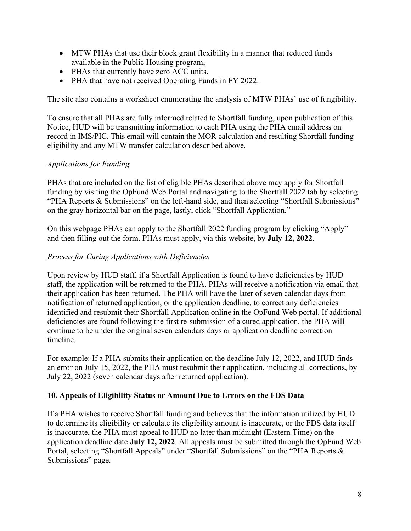- MTW PHAs that use their block grant flexibility in a manner that reduced funds available in the Public Housing program,
- PHAs that currently have zero ACC units,
- PHA that have not received Operating Funds in FY 2022.

The site also contains a worksheet enumerating the analysis of MTW PHAs' use of fungibility.

To ensure that all PHAs are fully informed related to Shortfall funding, upon publication of this Notice, HUD will be transmitting information to each PHA using the PHA email address on record in IMS/PIC. This email will contain the MOR calculation and resulting Shortfall funding eligibility and any MTW transfer calculation described above.

## *Applications for Funding*

PHAs that are included on the list of eligible PHAs described above may apply for Shortfall funding by visiting the OpFund Web Portal and navigating to the Shortfall 2022 tab by selecting "PHA Reports & Submissions" on the left-hand side, and then selecting "Shortfall Submissions" on the gray horizontal bar on the page, lastly, click "Shortfall Application."

On this webpage PHAs can apply to the Shortfall 2022 funding program by clicking "Apply" and then filling out the form. PHAs must apply, via this website, by **July 12, 2022**.

## *Process for Curing Applications with Deficiencies*

Upon review by HUD staff, if a Shortfall Application is found to have deficiencies by HUD staff, the application will be returned to the PHA. PHAs will receive a notification via email that their application has been returned. The PHA will have the later of seven calendar days from notification of returned application, or the application deadline, to correct any deficiencies identified and resubmit their Shortfall Application online in the OpFund Web portal. If additional deficiencies are found following the first re-submission of a cured application, the PHA will continue to be under the original seven calendars days or application deadline correction timeline.

For example: If a PHA submits their application on the deadline July 12, 2022, and HUD finds an error on July 15, 2022, the PHA must resubmit their application, including all corrections, by July 22, 2022 (seven calendar days after returned application).

#### **10. Appeals of Eligibility Status or Amount Due to Errors on the FDS Data**

If a PHA wishes to receive Shortfall funding and believes that the information utilized by HUD to determine its eligibility or calculate its eligibility amount is inaccurate, or the FDS data itself is inaccurate, the PHA must appeal to HUD no later than midnight (Eastern Time) on the application deadline date **July 12, 2022**. All appeals must be submitted through the OpFund Web Portal, selecting "Shortfall Appeals" under "Shortfall Submissions" on the "PHA Reports & Submissions" page.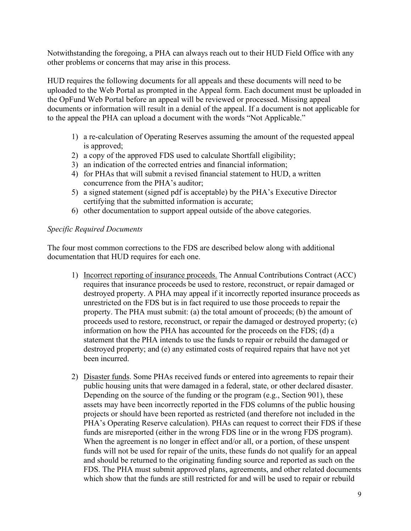Notwithstanding the foregoing, a PHA can always reach out to their HUD Field Office with any other problems or concerns that may arise in this process.

HUD requires the following documents for all appeals and these documents will need to be uploaded to the Web Portal as prompted in the Appeal form. Each document must be uploaded in the OpFund Web Portal before an appeal will be reviewed or processed. Missing appeal documents or information will result in a denial of the appeal. If a document is not applicable for to the appeal the PHA can upload a document with the words "Not Applicable."

- 1) a re-calculation of Operating Reserves assuming the amount of the requested appeal is approved;
- 2) a copy of the approved FDS used to calculate Shortfall eligibility;
- 3) an indication of the corrected entries and financial information;
- 4) for PHAs that will submit a revised financial statement to HUD, a written concurrence from the PHA's auditor;
- 5) a signed statement (signed pdf is acceptable) by the PHA's Executive Director certifying that the submitted information is accurate;
- 6) other documentation to support appeal outside of the above categories.

#### *Specific Required Documents*

The four most common corrections to the FDS are described below along with additional documentation that HUD requires for each one.

- 1) Incorrect reporting of insurance proceeds. The Annual Contributions Contract (ACC) requires that insurance proceeds be used to restore, reconstruct, or repair damaged or destroyed property. A PHA may appeal if it incorrectly reported insurance proceeds as unrestricted on the FDS but is in fact required to use those proceeds to repair the property. The PHA must submit: (a) the total amount of proceeds; (b) the amount of proceeds used to restore, reconstruct, or repair the damaged or destroyed property; (c) information on how the PHA has accounted for the proceeds on the FDS; (d) a statement that the PHA intends to use the funds to repair or rebuild the damaged or destroyed property; and (e) any estimated costs of required repairs that have not yet been incurred.
- 2) Disaster funds. Some PHAs received funds or entered into agreements to repair their public housing units that were damaged in a federal, state, or other declared disaster. Depending on the source of the funding or the program (e.g., Section 901), these assets may have been incorrectly reported in the FDS columns of the public housing projects or should have been reported as restricted (and therefore not included in the PHA's Operating Reserve calculation). PHAs can request to correct their FDS if these funds are misreported (either in the wrong FDS line or in the wrong FDS program). When the agreement is no longer in effect and/or all, or a portion, of these unspent funds will not be used for repair of the units, these funds do not qualify for an appeal and should be returned to the originating funding source and reported as such on the FDS. The PHA must submit approved plans, agreements, and other related documents which show that the funds are still restricted for and will be used to repair or rebuild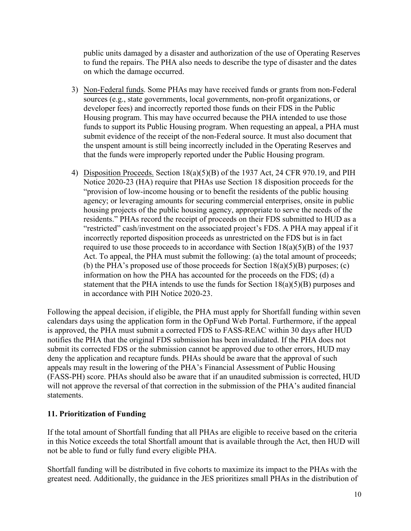public units damaged by a disaster and authorization of the use of Operating Reserves to fund the repairs. The PHA also needs to describe the type of disaster and the dates on which the damage occurred.

- 3) Non-Federal funds. Some PHAs may have received funds or grants from non-Federal sources (e.g., state governments, local governments, non-profit organizations, or developer fees) and incorrectly reported those funds on their FDS in the Public Housing program. This may have occurred because the PHA intended to use those funds to support its Public Housing program. When requesting an appeal, a PHA must submit evidence of the receipt of the non-Federal source. It must also document that the unspent amount is still being incorrectly included in the Operating Reserves and that the funds were improperly reported under the Public Housing program.
- 4) Disposition Proceeds. Section 18(a)(5)(B) of the 1937 Act, 24 CFR 970.19, and PIH Notice 2020-23 (HA) require that PHAs use Section 18 disposition proceeds for the "provision of low-income housing or to benefit the residents of the public housing agency; or leveraging amounts for securing commercial enterprises, onsite in public housing projects of the public housing agency, appropriate to serve the needs of the residents." PHAs record the receipt of proceeds on their FDS submitted to HUD as a "restricted" cash/investment on the associated project's FDS. A PHA may appeal if it incorrectly reported disposition proceeds as unrestricted on the FDS but is in fact required to use those proceeds to in accordance with Section  $18(a)(5)(B)$  of the 1937 Act. To appeal, the PHA must submit the following: (a) the total amount of proceeds; (b) the PHA's proposed use of those proceeds for Section  $18(a)(5)(B)$  purposes; (c) information on how the PHA has accounted for the proceeds on the FDS; (d) a statement that the PHA intends to use the funds for Section  $18(a)(5)(B)$  purposes and in accordance with PIH Notice 2020-23.

Following the appeal decision, if eligible, the PHA must apply for Shortfall funding within seven calendars days using the application form in the OpFund Web Portal. Furthermore, if the appeal is approved, the PHA must submit a corrected FDS to FASS-REAC within 30 days after HUD notifies the PHA that the original FDS submission has been invalidated. If the PHA does not submit its corrected FDS or the submission cannot be approved due to other errors, HUD may deny the application and recapture funds. PHAs should be aware that the approval of such appeals may result in the lowering of the PHA's Financial Assessment of Public Housing (FASS-PH) score. PHAs should also be aware that if an unaudited submission is corrected, HUD will not approve the reversal of that correction in the submission of the PHA's audited financial statements.

#### **11. Prioritization of Funding**

If the total amount of Shortfall funding that all PHAs are eligible to receive based on the criteria in this Notice exceeds the total Shortfall amount that is available through the Act, then HUD will not be able to fund or fully fund every eligible PHA.

Shortfall funding will be distributed in five cohorts to maximize its impact to the PHAs with the greatest need. Additionally, the guidance in the JES prioritizes small PHAs in the distribution of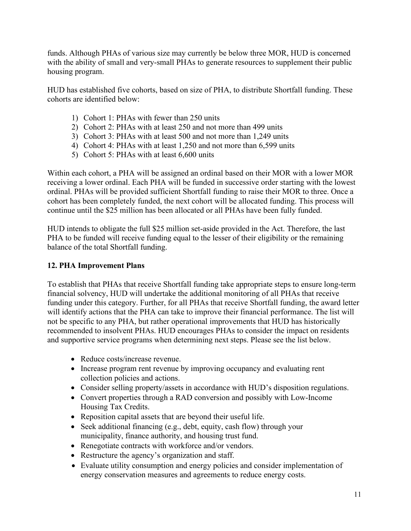funds. Although PHAs of various size may currently be below three MOR, HUD is concerned with the ability of small and very-small PHAs to generate resources to supplement their public housing program.

HUD has established five cohorts, based on size of PHA, to distribute Shortfall funding. These cohorts are identified below:

- 1) Cohort 1: PHAs with fewer than 250 units
- 2) Cohort 2: PHAs with at least 250 and not more than 499 units
- 3) Cohort 3: PHAs with at least 500 and not more than 1,249 units
- 4) Cohort 4: PHAs with at least 1,250 and not more than 6,599 units
- 5) Cohort 5: PHAs with at least 6,600 units

Within each cohort, a PHA will be assigned an ordinal based on their MOR with a lower MOR receiving a lower ordinal. Each PHA will be funded in successive order starting with the lowest ordinal. PHAs will be provided sufficient Shortfall funding to raise their MOR to three. Once a cohort has been completely funded, the next cohort will be allocated funding. This process will continue until the \$25 million has been allocated or all PHAs have been fully funded.

HUD intends to obligate the full \$25 million set-aside provided in the Act. Therefore, the last PHA to be funded will receive funding equal to the lesser of their eligibility or the remaining balance of the total Shortfall funding.

### **12. PHA Improvement Plans**

To establish that PHAs that receive Shortfall funding take appropriate steps to ensure long-term financial solvency, HUD will undertake the additional monitoring of all PHAs that receive funding under this category. Further, for all PHAs that receive Shortfall funding, the award letter will identify actions that the PHA can take to improve their financial performance. The list will not be specific to any PHA, but rather operational improvements that HUD has historically recommended to insolvent PHAs. HUD encourages PHAs to consider the impact on residents and supportive service programs when determining next steps. Please see the list below.

- Reduce costs/increase revenue.
- Increase program rent revenue by improving occupancy and evaluating rent collection policies and actions.
- Consider selling property/assets in accordance with HUD's disposition regulations.
- Convert properties through a RAD conversion and possibly with Low-Income Housing Tax Credits.
- Reposition capital assets that are beyond their useful life.
- Seek additional financing (e.g., debt, equity, cash flow) through your municipality, finance authority, and housing trust fund.
- Renegotiate contracts with workforce and/or vendors.
- Restructure the agency's organization and staff.
- Evaluate utility consumption and energy policies and consider implementation of energy conservation measures and agreements to reduce energy costs.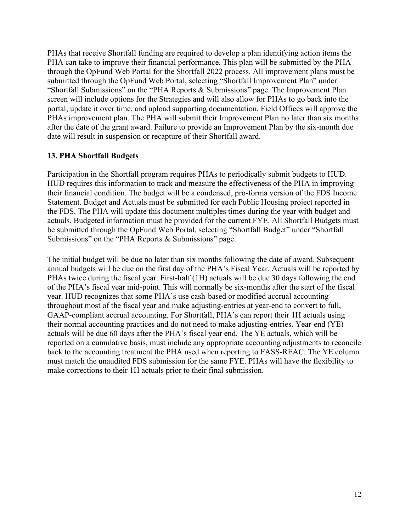PHAs that receive Shortfall funding are required to develop a plan identifying action items the PHA can take to improve their financial performance. This plan will be submitted by the PHA through the OpFund Web Portal for the Shortfall 2022 process. All improvement plans must be submitted through the OpFund Web Portal, selecting "Shortfall Improvement Plan" under "Shortfall Submissions" on the "PHA Reports & Submissions" page. The Improvement Plan screen will include options for the Strategies and will also allow for PHAs to go back into the portal, update it over time, and upload supporting documentation. Field Offices will approve the PHAs improvement plan. The PHA will submit their Improvement Plan no later than six months after the date of the grant award. Failure to provide an Improvement Plan by the six-month due date will result in suspension or recapture of their Shortfall award.

#### **13. PHA Shortfall Budgets**

Participation in the Shortfall program requires PHAs to periodically submit budgets to HUD. HUD requires this information to track and measure the effectiveness of the PHA in improving their financial condition. The budget will be a condensed, pro-forma version of the FDS Income Statement. Budget and Actuals must be submitted for each Public Housing project reported in the FDS. The PHA will update this document multiples times during the year with budget and actuals. Budgeted information must be provided for the current FYE. All Shortfall Budgets must be submitted through the OpFund Web Portal, selecting "Shortfall Budget" under "Shortfall Submissions" on the "PHA Reports & Submissions" page.

The initial budget will be due no later than six months following the date of award. Subsequent annual budgets will be due on the first day of the PHA's Fiscal Year. Actuals will be reported by PHAs twice during the fiscal year. First-half (1H) actuals will be due 30 days following the end of the PHA's fiscal year mid-point. This will normally be six-months after the start of the fiscal year. HUD recognizes that some PHA's use cash-based or modified accrual accounting throughout most of the fiscal year and make adjusting-entries at year-end to convert to full, GAAP-compliant accrual accounting. For Shortfall, PHA's can report their 1H actuals using their normal accounting practices and do not need to make adjusting-entries. Year-end (YE) actuals will be due 60 days after the PHA's fiscal year end. The YE actuals, which will be reported on a cumulative basis, must include any appropriate accounting adjustments to reconcile back to the accounting treatment the PHA used when reporting to FASS-REAC. The YE column must match the unaudited FDS submission for the same FYE. PHAs will have the flexibility to make corrections to their 1H actuals prior to their final submission.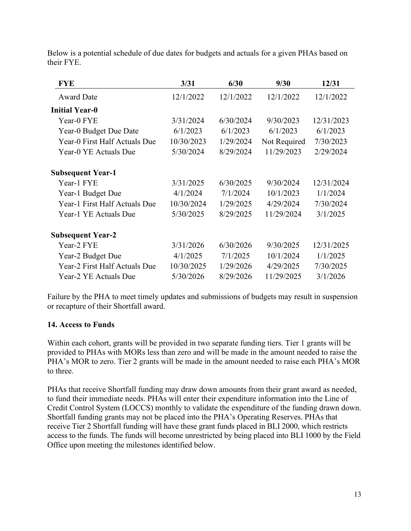Below is a potential schedule of due dates for budgets and actuals for a given PHAs based on their FYE.

| <b>FYE</b>                    | 3/31       | 6/30      | 9/30         | 12/31      |
|-------------------------------|------------|-----------|--------------|------------|
| <b>Award Date</b>             | 12/1/2022  | 12/1/2022 | 12/1/2022    | 12/1/2022  |
| <b>Initial Year-0</b>         |            |           |              |            |
| Year-0 FYE                    | 3/31/2024  | 6/30/2024 | 9/30/2023    | 12/31/2023 |
| Year-0 Budget Due Date        | 6/1/2023   | 6/1/2023  | 6/1/2023     | 6/1/2023   |
| Year-0 First Half Actuals Due | 10/30/2023 | 1/29/2024 | Not Required | 7/30/2023  |
| Year-0 YE Actuals Due         | 5/30/2024  | 8/29/2024 | 11/29/2023   | 2/29/2024  |
| <b>Subsequent Year-1</b>      |            |           |              |            |
| Year-1 FYE                    | 3/31/2025  | 6/30/2025 | 9/30/2024    | 12/31/2024 |
| Year-1 Budget Due             | 4/1/2024   | 7/1/2024  | 10/1/2023    | 1/1/2024   |
| Year-1 First Half Actuals Due | 10/30/2024 | 1/29/2025 | 4/29/2024    | 7/30/2024  |
| Year-1 YE Actuals Due         | 5/30/2025  | 8/29/2025 | 11/29/2024   | 3/1/2025   |
| <b>Subsequent Year-2</b>      |            |           |              |            |
| Year-2 FYE                    | 3/31/2026  | 6/30/2026 | 9/30/2025    | 12/31/2025 |
| Year-2 Budget Due             | 4/1/2025   | 7/1/2025  | 10/1/2024    | 1/1/2025   |
| Year-2 First Half Actuals Due | 10/30/2025 | 1/29/2026 | 4/29/2025    | 7/30/2025  |
| Year-2 YE Actuals Due         | 5/30/2026  | 8/29/2026 | 11/29/2025   | 3/1/2026   |

Failure by the PHA to meet timely updates and submissions of budgets may result in suspension or recapture of their Shortfall award.

#### **14. Access to Funds**

Within each cohort, grants will be provided in two separate funding tiers. Tier 1 grants will be provided to PHAs with MORs less than zero and will be made in the amount needed to raise the PHA's MOR to zero. Tier 2 grants will be made in the amount needed to raise each PHA's MOR to three.

PHAs that receive Shortfall funding may draw down amounts from their grant award as needed, to fund their immediate needs. PHAs will enter their expenditure information into the Line of Credit Control System (LOCCS) monthly to validate the expenditure of the funding drawn down. Shortfall funding grants may not be placed into the PHA's Operating Reserves. PHAs that receive Tier 2 Shortfall funding will have these grant funds placed in BLI 2000, which restricts access to the funds. The funds will become unrestricted by being placed into BLI 1000 by the Field Office upon meeting the milestones identified below.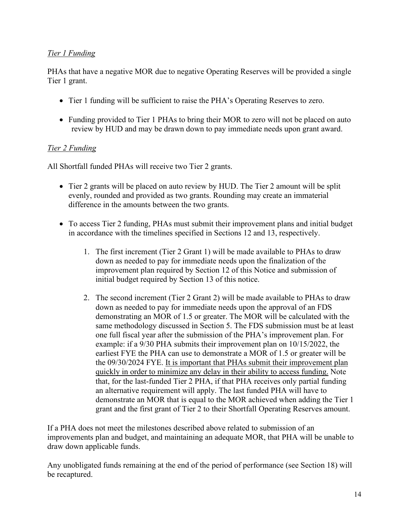## *Tier 1 Funding*

PHAs that have a negative MOR due to negative Operating Reserves will be provided a single Tier 1 grant.

- Tier 1 funding will be sufficient to raise the PHA's Operating Reserves to zero.
- Funding provided to Tier 1 PHAs to bring their MOR to zero will not be placed on auto review by HUD and may be drawn down to pay immediate needs upon grant award.

## *Tier 2 Funding*

All Shortfall funded PHAs will receive two Tier 2 grants.

- Tier 2 grants will be placed on auto review by HUD. The Tier 2 amount will be split evenly, rounded and provided as two grants. Rounding may create an immaterial difference in the amounts between the two grants.
- To access Tier 2 funding, PHAs must submit their improvement plans and initial budget in accordance with the timelines specified in Sections 12 and 13, respectively.
	- 1. The first increment (Tier 2 Grant 1) will be made available to PHAs to draw down as needed to pay for immediate needs upon the finalization of the improvement plan required by Section 12 of this Notice and submission of initial budget required by Section 13 of this notice.
	- 2. The second increment (Tier 2 Grant 2) will be made available to PHAs to draw down as needed to pay for immediate needs upon the approval of an FDS demonstrating an MOR of 1.5 or greater. The MOR will be calculated with the same methodology discussed in Section 5. The FDS submission must be at least one full fiscal year after the submission of the PHA's improvement plan. For example: if a 9/30 PHA submits their improvement plan on 10/15/2022, the earliest FYE the PHA can use to demonstrate a MOR of 1.5 or greater will be the 09/30/2024 FYE. It is important that PHAs submit their improvement plan quickly in order to minimize any delay in their ability to access funding. Note that, for the last-funded Tier 2 PHA, if that PHA receives only partial funding an alternative requirement will apply. The last funded PHA will have to demonstrate an MOR that is equal to the MOR achieved when adding the Tier 1 grant and the first grant of Tier 2 to their Shortfall Operating Reserves amount.

If a PHA does not meet the milestones described above related to submission of an improvements plan and budget, and maintaining an adequate MOR, that PHA will be unable to draw down applicable funds.

Any unobligated funds remaining at the end of the period of performance (see Section 18) will be recaptured.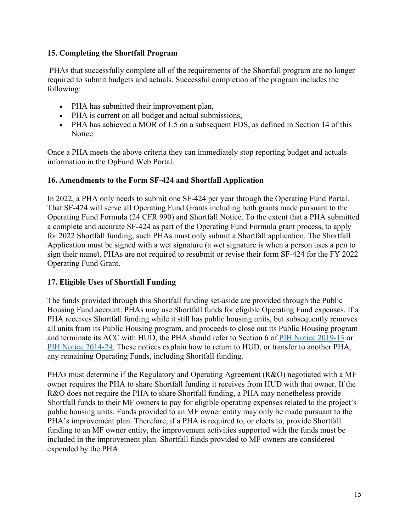## **15. Completing the Shortfall Program**

 PHAs that successfully complete all of the requirements of the Shortfall program are no longer required to submit budgets and actuals. Successful completion of the program includes the following:

- PHA has submitted their improvement plan,
- PHA is current on all budget and actual submissions,
- PHA has achieved a MOR of 1.5 on a subsequent FDS, as defined in Section 14 of this Notice.

Once a PHA meets the above criteria they can immediately stop reporting budget and actuals information in the OpFund Web Portal.

## **16. Amendments to the Form SF-424 and Shortfall Application**

In 2022, a PHA only needs to submit one SF-424 per year through the Operating Fund Portal. That SF-424 will serve all Operating Fund Grants including both grants made pursuant to the Operating Fund Formula (24 CFR 990) and Shortfall Notice. To the extent that a PHA submitted a complete and accurate SF-424 as part of the Operating Fund Formula grant process, to apply for 2022 Shortfall funding, such PHAs must only submit a Shortfall application. The Shortfall Application must be signed with a wet signature (a wet signature is when a person uses a pen to sign their name). PHAs are not required to resubmit or revise their form SF-424 for the FY 2022 Operating Fund Grant.

## **17. Eligible Uses of Shortfall Funding**

The funds provided through this Shortfall funding set-aside are provided through the Public Housing Fund account. PHAs may use Shortfall funds for eligible Operating Fund expenses. If a PHA receives Shortfall funding while it still has public housing units, but subsequently removes all units from its Public Housing program, and proceeds to close out its Public Housing program and terminate its ACC with HUD, the PHA should refer to Section 6 of [PIH Notice 2019-13](https://www.hud.gov/sites/dfiles/PIH/documents/PIH-2019-13.pdf) or [PIH Notice 2014-24.](https://www.hud.gov/sites/documents/PIH2014-24.PDF) These notices explain how to return to HUD, or transfer to another PHA, any remaining Operating Funds, including Shortfall funding.

PHAs must determine if the Regulatory and Operating Agreement (R&O) negotiated with a MF owner requires the PHA to share Shortfall funding it receives from HUD with that owner. If the R&O does not require the PHA to share Shortfall funding, a PHA may nonetheless provide Shortfall funds to their MF owners to pay for eligible operating expenses related to the project's public housing units. Funds provided to an MF owner entity may only be made pursuant to the PHA's improvement plan. Therefore, if a PHA is required to, or elects to, provide Shortfall funding to an MF owner entity, the improvement activities supported with the funds must be included in the improvement plan. Shortfall funds provided to MF owners are considered expended by the PHA.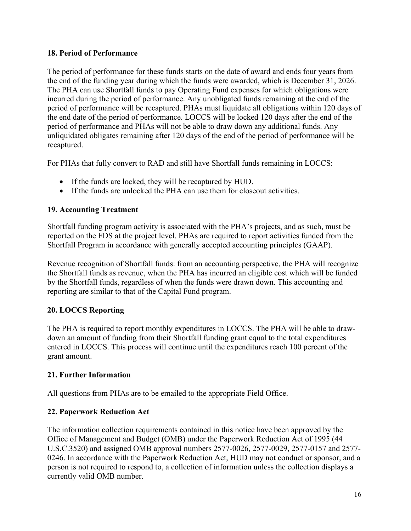### **18. Period of Performance**

The period of performance for these funds starts on the date of award and ends four years from the end of the funding year during which the funds were awarded, which is December 31, 2026. The PHA can use Shortfall funds to pay Operating Fund expenses for which obligations were incurred during the period of performance. Any unobligated funds remaining at the end of the period of performance will be recaptured. PHAs must liquidate all obligations within 120 days of the end date of the period of performance. LOCCS will be locked 120 days after the end of the period of performance and PHAs will not be able to draw down any additional funds. Any unliquidated obligates remaining after 120 days of the end of the period of performance will be recaptured.

For PHAs that fully convert to RAD and still have Shortfall funds remaining in LOCCS:

- If the funds are locked, they will be recaptured by HUD.
- If the funds are unlocked the PHA can use them for closeout activities.

## **19. Accounting Treatment**

Shortfall funding program activity is associated with the PHA's projects, and as such, must be reported on the FDS at the project level. PHAs are required to report activities funded from the Shortfall Program in accordance with generally accepted accounting principles (GAAP).

Revenue recognition of Shortfall funds: from an accounting perspective, the PHA will recognize the Shortfall funds as revenue, when the PHA has incurred an eligible cost which will be funded by the Shortfall funds, regardless of when the funds were drawn down. This accounting and reporting are similar to that of the Capital Fund program.

## **20. LOCCS Reporting**

The PHA is required to report monthly expenditures in LOCCS. The PHA will be able to drawdown an amount of funding from their Shortfall funding grant equal to the total expenditures entered in LOCCS. This process will continue until the expenditures reach 100 percent of the grant amount.

## **21. Further Information**

All questions from PHAs are to be emailed to the appropriate Field Office.

## **22. Paperwork Reduction Act**

The information collection requirements contained in this notice have been approved by the Office of Management and Budget (OMB) under the Paperwork Reduction Act of 1995 (44 U.S.C.3520) and assigned OMB approval numbers 2577-0026, 2577-0029, 2577-0157 and 2577- 0246. In accordance with the Paperwork Reduction Act, HUD may not conduct or sponsor, and a person is not required to respond to, a collection of information unless the collection displays a currently valid OMB number.